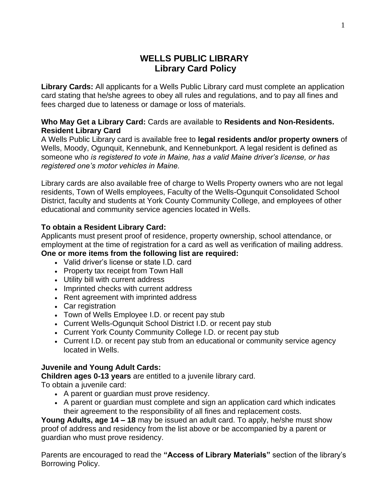# **WELLS PUBLIC LIBRARY Library Card Policy**

**Library Cards:** All applicants for a Wells Public Library card must complete an application card stating that he/she agrees to obey all rules and regulations, and to pay all fines and fees charged due to lateness or damage or loss of materials.

## **Who May Get a Library Card:** Cards are available to **Residents and Non-Residents. Resident Library Card**

A Wells Public Library card is available free to **legal residents and/or property owners** of Wells, Moody, Ogunquit, Kennebunk, and Kennebunkport. A legal resident is defined as someone who *is registered to vote in Maine, has a valid Maine driver's license, or has registered one's motor vehicles in Maine.*

Library cards are also available free of charge to Wells Property owners who are not legal residents, Town of Wells employees, Faculty of the Wells-Ogunquit Consolidated School District, faculty and students at York County Community College, and employees of other educational and community service agencies located in Wells.

## **To obtain a Resident Library Card:**

Applicants must present proof of residence, property ownership, school attendance, or employment at the time of registration for a card as well as verification of mailing address. **One or more items from the following list are required:**

- Valid driver's license or state I.D. card
- Property tax receipt from Town Hall
- Utility bill with current address
- Imprinted checks with current address
- Rent agreement with imprinted address
- Car registration
- Town of Wells Employee I.D. or recent pay stub
- Current Wells-Ogunquit School District I.D. or recent pay stub
- Current York County Community College I.D. or recent pay stub
- Current I.D. or recent pay stub from an educational or community service agency located in Wells.

### **Juvenile and Young Adult Cards:**

**Children ages 0-13 years** are entitled to a juvenile library card.

To obtain a juvenile card:

- A parent or guardian must prove residency.
- A parent or guardian must complete and sign an application card which indicates their agreement to the responsibility of all fines and replacement costs.

**Young Adults, age 14** *–* **18** may be issued an adult card. To apply, he/she must show proof of address and residency from the list above or be accompanied by a parent or guardian who must prove residency.

Parents are encouraged to read the **"Access of Library Materials"** section of the library's Borrowing Policy.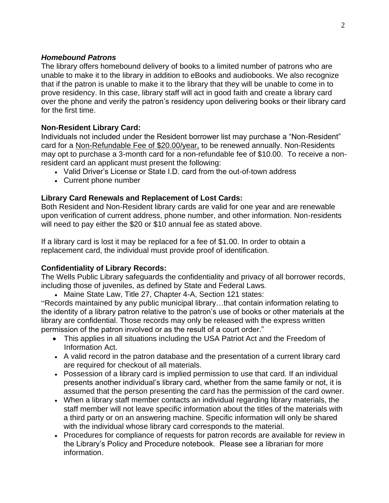#### *Homebound Patrons*

The library offers homebound delivery of books to a limited number of patrons who are unable to make it to the library in addition to eBooks and audiobooks. We also recognize that if the patron is unable to make it to the library that they will be unable to come in to prove residency. In this case, library staff will act in good faith and create a library card over the phone and verify the patron's residency upon delivering books or their library card for the first time.

#### **Non-Resident Library Card:**

Individuals not included under the Resident borrower list may purchase a "Non-Resident" card for a Non-Refundable Fee of \$20.00/year, to be renewed annually. Non-Residents may opt to purchase a 3-month card for a non-refundable fee of \$10.00. To receive a nonresident card an applicant must present the following:

- Valid Driver's License or State I.D. card from the out-of-town address
- Current phone number

### **Library Card Renewals and Replacement of Lost Cards:**

Both Resident and Non-Resident library cards are valid for one year and are renewable upon verification of current address, phone number, and other information. Non-residents will need to pay either the \$20 or \$10 annual fee as stated above.

If a library card is lost it may be replaced for a fee of \$1.00. In order to obtain a replacement card, the individual must provide proof of identification.

### **Confidentiality of Library Records:**

The Wells Public Library safeguards the confidentiality and privacy of all borrower records, including those of juveniles, as defined by State and Federal Laws.

• Maine State Law, Title 27, Chapter 4-A, Section 121 states:

"Records maintained by any public municipal library…that contain information relating to the identity of a library patron relative to the patron's use of books or other materials at the library are confidential. Those records may only be released with the express written permission of the patron involved or as the result of a court order."

- This applies in all situations including the USA Patriot Act and the Freedom of Information Act.
- A valid record in the patron database and the presentation of a current library card are required for checkout of all materials.
- Possession of a library card is implied permission to use that card. If an individual presents another individual's library card, whether from the same family or not, it is assumed that the person presenting the card has the permission of the card owner.
- When a library staff member contacts an individual regarding library materials, the staff member will not leave specific information about the titles of the materials with a third party or on an answering machine. Specific information will only be shared with the individual whose library card corresponds to the material.
- Procedures for compliance of requests for patron records are available for review in the Library's Policy and Procedure notebook. Please see a librarian for more information.